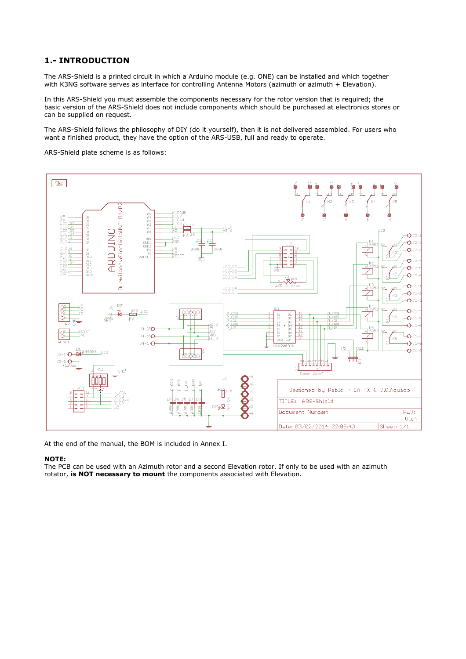# **1.- INTRODUCTION**

The ARS-Shield is a printed circuit in which a Arduino module (e.g. ONE) can be installed and which together with K3NG software serves as interface for controlling Antenna Motors (azimuth or azimuth + Elevation).

In this ARS-Shield you must assemble the components necessary for the rotor version that is required; the basic version of the ARS-Shield does not include components which should be purchased at electronics stores or can be supplied on request.

The ARS-Shield follows the philosophy of DIY (do it yourself), then it is not delivered assembled. For users who want a finished product, they have the option of the ARS-USB, full and ready to operate.

ARS-Shield plate scheme is as follows:



At the end of the manual, the BOM is included in Annex I.

## **NOTE:**

The PCB can be used with an Azimuth rotor and a second Elevation rotor. If only to be used with an azimuth rotator, **is NOT necessary to mount** the components associated with Elevation.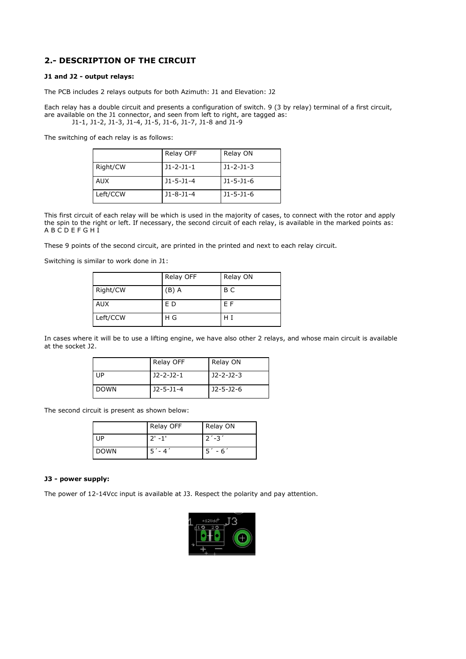# **2.- DESCRIPTION OF THE CIRCUIT**

## **J1 and J2 - output relays:**

The PCB includes 2 relays outputs for both Azimuth: J1 and Elevation: J2

Each relay has a double circuit and presents a configuration of switch. 9 (3 by relay) terminal of a first circuit, are available on the J1 connector, and seen from left to right, are tagged as: J1-1, J1-2, J1-3, J1-4, J1-5, J1-6, J1-7, J1-8 and J1-9

The switching of each relay is as follows:

|            | Relay OFF         | Relay ON          |
|------------|-------------------|-------------------|
| Right/CW   | $J1 - 2 - J1 - 1$ | $J1 - 2 - J1 - 3$ |
| <b>AUX</b> | $J1 - 5 - J1 - 4$ | $J1-5-J1-6$       |
| Left/CCW   | $J1 - 8 - J1 - 4$ | $J1-5-J1-6$       |

This first circuit of each relay will be which is used in the majority of cases, to connect with the rotor and apply the spin to the right or left. If necessary, the second circuit of each relay, is available in the marked points as: A B C D E F G H I

These 9 points of the second circuit, are printed in the printed and next to each relay circuit.

Switching is similar to work done in J1:

|            | Relay OFF | Relay ON |
|------------|-----------|----------|
| Right/CW   | $(B)$ A   | B C      |
| <b>AUX</b> | E D       | E F      |
| Left/CCW   | H G       | ΗI       |

In cases where it will be to use a lifting engine, we have also other 2 relays, and whose main circuit is available at the socket J2.

|             | Relay OFF         | Relay ON         |
|-------------|-------------------|------------------|
| UP          | $J2-2-J2-1$       | <b>J2-2-J2-3</b> |
| <b>DOWN</b> | $J2 - 5 - J1 - 4$ | <b>J2-5-J2-6</b> |

The second circuit is present as shown below:

|      | Relay OFF | Relay ON                |
|------|-----------|-------------------------|
| ПP   | $2' - 1'$ | $2' - 3'$               |
| DOWN |           | 5 <sup>′</sup><br>$-6'$ |

### **J3 - power supply:**

The power of 12-14Vcc input is available at J3. Respect the polarity and pay attention.

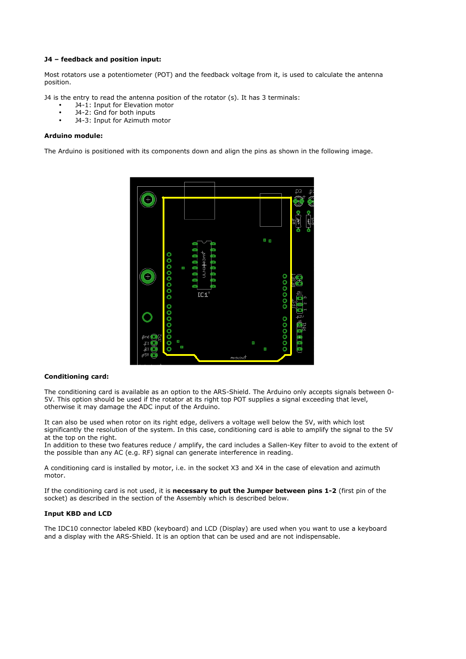## **J4 – feedback and position input:**

Most rotators use a potentiometer (POT) and the feedback voltage from it, is used to calculate the antenna position.

J4 is the entry to read the antenna position of the rotator (s). It has 3 terminals:

- J4-1: Input for Elevation motor
- J4-2: Gnd for both inputs
- J4-3: Input for Azimuth motor

### **Arduino module:**

The Arduino is positioned with its components down and align the pins as shown in the following image.



#### **Conditioning card:**

The conditioning card is available as an option to the ARS-Shield. The Arduino only accepts signals between 0- 5V. This option should be used if the rotator at its right top POT supplies a signal exceeding that level, otherwise it may damage the ADC input of the Arduino.

It can also be used when rotor on its right edge, delivers a voltage well below the 5V, with which lost significantly the resolution of the system. In this case, conditioning card is able to amplify the signal to the 5V at the top on the right.

In addition to these two features reduce / amplify, the card includes a Sallen-Key filter to avoid to the extent of the possible than any AC (e.g. RF) signal can generate interference in reading.

A conditioning card is installed by motor, i.e. in the socket X3 and X4 in the case of elevation and azimuth motor.

If the conditioning card is not used, it is **necessary to put the Jumper between pins 1-2** (first pin of the socket) as described in the section of the Assembly which is described below.

### **Input KBD and LCD**

The IDC10 connector labeled KBD (keyboard) and LCD (Display) are used when you want to use a keyboard and a display with the ARS-Shield. It is an option that can be used and are not indispensable.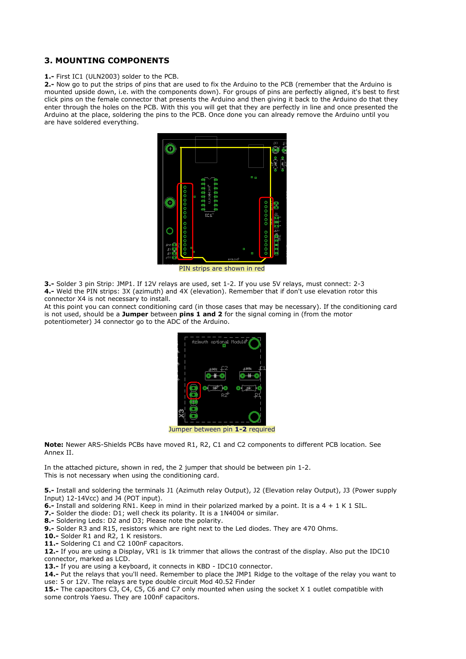## **3. MOUNTING COMPONENTS**

### **1.-** First IC1 (ULN2003) solder to the PCB.

**2.-** Now go to put the strips of pins that are used to fix the Arduino to the PCB (remember that the Arduino is mounted upside down, i.e. with the components down). For groups of pins are perfectly aligned, it's best to first click pins on the female connector that presents the Arduino and then giving it back to the Arduino do that they enter through the holes on the PCB. With this you will get that they are perfectly in line and once presented the Arduino at the place, soldering the pins to the PCB. Once done you can already remove the Arduino until you are have soldered everything.



PIN strips are shown in red

**3.-** Solder 3 pin Strip: JMP1. If 12V relays are used, set 1-2. If you use 5V relays, must connect: 2-3 **4.-** Weld the PIN strips: 3X (azimuth) and 4X (elevation). Remember that if don't use elevation rotor this connector X4 is not necessary to install.

At this point you can connect conditioning card (in those cases that may be necessary). If the conditioning card is not used, should be a **Jumper** between **pins 1 and 2** for the signal coming in (from the motor potentiometer) J4 connector go to the ADC of the Arduino.



Jumper between pin **1-2** required

**Note:** Newer ARS-Shields PCBs have moved R1, R2, C1 and C2 components to different PCB location. See Annex II.

In the attached picture, shown in red, the 2 jumper that should be between pin 1-2. This is not necessary when using the conditioning card.

**5.-** Install and soldering the terminals J1 (Azimuth relay Output), J2 (Elevation relay Output), J3 (Power supply Input) 12-14Vcc) and J4 (POT input).

**6.-** Install and soldering RN1. Keep in mind in their polarized marked by a point. It is a 4 + 1 K 1 SIL.

**7.-** Solder the diode: D1; well check its polarity. It is a 1N4004 or similar.

**8.-** Soldering Leds: D2 and D3; Please note the polarity.

**9.-** Solder R3 and R15, resistors which are right next to the Led diodes. They are 470 Ohms.

**10.-** Solder R1 and R2, 1 K resistors.

11.- Soldering C1 and C2 100nF capacitors.

**12.-** If you are using a Display, VR1 is 1k trimmer that allows the contrast of the display. Also put the IDC10 connector, marked as LCD.

**13.-** If you are using a keyboard, it connects in KBD - IDC10 connector.

**14.-** Put the relays that you'll need. Remember to place the JMP1 Ridge to the voltage of the relay you want to use: 5 or 12V. The relays are type double circuit Mod 40.52 Finder

**15.-** The capacitors C3, C4, C5, C6 and C7 only mounted when using the socket X 1 outlet compatible with some controls Yaesu. They are 100nF capacitors.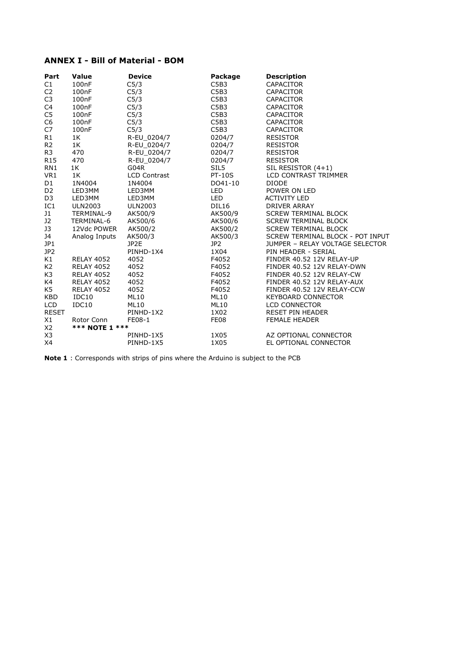# **ANNEX I - Bill of Material - BOM**

| Part            | Value              | <b>Device</b>       | Package          | <b>Description</b>               |
|-----------------|--------------------|---------------------|------------------|----------------------------------|
| C1              | 100 <sub>n</sub> F | C <sub>5/3</sub>    | C5B3             | <b>CAPACITOR</b>                 |
| C <sub>2</sub>  | 100nF              | C <sub>5/3</sub>    | C5B3             | CAPACITOR                        |
| C <sub>3</sub>  | 100nF              | C <sub>5/3</sub>    | C5B3             | CAPACITOR                        |
| C <sub>4</sub>  | 100nF              | C <sub>5/3</sub>    | C5B3             | <b>CAPACITOR</b>                 |
| C <sub>5</sub>  | 100nF              | C <sub>5/3</sub>    | C5B3             | CAPACITOR                        |
| C <sub>6</sub>  | 100nF              | C <sub>5/3</sub>    | C5B3             | <b>CAPACITOR</b>                 |
| C7              | 100nF              | C <sub>5/3</sub>    | C5B3             | <b>CAPACITOR</b>                 |
| R1              | 1K                 | R-EU 0204/7         | 0204/7           | <b>RESISTOR</b>                  |
| R <sub>2</sub>  | 1K                 | R-EU 0204/7         | 0204/7           | <b>RESISTOR</b>                  |
| R3              | 470                | R-EU_0204/7         | 0204/7           | <b>RESISTOR</b>                  |
| R <sub>15</sub> | 470                | R-EU 0204/7         | 0204/7           | <b>RESISTOR</b>                  |
| RN1             | 1K                 | G04R                | SIL <sub>5</sub> | SIL RESISTOR $(4+1)$             |
| VR1             | 1K                 | <b>LCD Contrast</b> | <b>PT-10S</b>    | <b>LCD CONTRAST TRIMMER</b>      |
| D1              | 1N4004             | 1N4004              | DO41-10          | <b>DIODE</b>                     |
| D <sub>2</sub>  | LED3MM             | LED3MM              | LED              | POWER ON LED                     |
| D <sub>3</sub>  | LED3MM             | LED3MM              | <b>LED</b>       | <b>ACTIVITY LED</b>              |
| IC1             | <b>ULN2003</b>     | <b>ULN2003</b>      | DIL16            | DRIVER ARRAY                     |
| J1              | TERMINAL-9         | AK500/9             | AK500/9          | <b>SCREW TERMINAL BLOCK</b>      |
| J2              | TERMINAL-6         | AK500/6             | AK500/6          | <b>SCREW TERMINAL BLOCK</b>      |
| J3              | 12Vdc POWER        | AK500/2             | AK500/2          | <b>SCREW TERMINAL BLOCK</b>      |
| <b>J4</b>       | Analog Inputs      | AK500/3             | AK500/3          | SCREW TERMINAL BLOCK - POT INPUT |
| JP1             |                    | JP2E                | JP2              | JUMPER - RELAY VOLTAGE SELECTOR  |
| JP <sub>2</sub> |                    | PINHD-1X4           | 1X04             | PIN HEADER - SERIAL              |
| K1              | <b>RELAY 4052</b>  | 4052                | F4052            | FINDER 40.52 12V RELAY-UP        |
| K2              | <b>RELAY 4052</b>  | 4052                | F4052            | FINDER 40.52 12V RELAY-DWN       |
| K3              | <b>RELAY 4052</b>  | 4052                | F4052            | FINDER 40.52 12V RELAY-CW        |
| K4              | <b>RELAY 4052</b>  | 4052                | F4052            | FINDER 40.52 12V RELAY-AUX       |
| K5              | <b>RELAY 4052</b>  | 4052                | F4052            | FINDER 40.52 12V RELAY-CCW       |
| <b>KBD</b>      | IDC10              | ML10                | ML10             | <b>KEYBOARD CONNECTOR</b>        |
| <b>LCD</b>      | IDC10              | ML10                | ML10             | <b>LCD CONNECTOR</b>             |
| <b>RESET</b>    |                    | PINHD-1X2           | 1X02             | <b>RESET PIN HEADER</b>          |
| X1              | Rotor Conn         | FE08-1              | FE08             | <b>FEMALE HEADER</b>             |
| X <sub>2</sub>  | *** NOTE 1 ***     |                     |                  |                                  |
| X3              |                    | PINHD-1X5           | 1X05             | AZ OPTIONAL CONNECTOR            |
| X4              |                    | PINHD-1X5           | 1X05             | EL OPTIONAL CONNECTOR            |

**Note 1** : Corresponds with strips of pins where the Arduino is subject to the PCB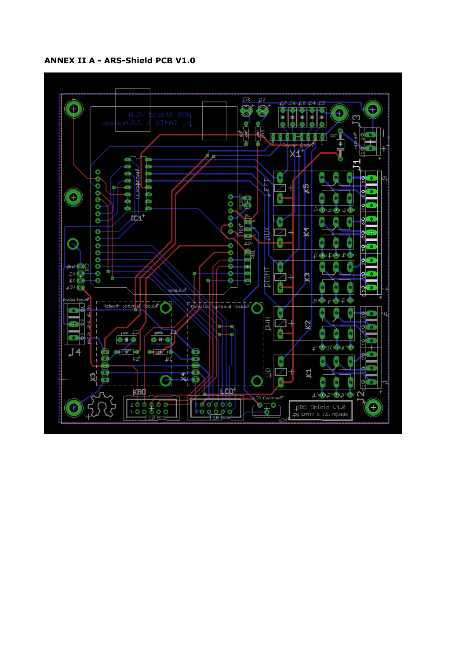**ANNEX II A - ARS-Shield PCB V1.0**